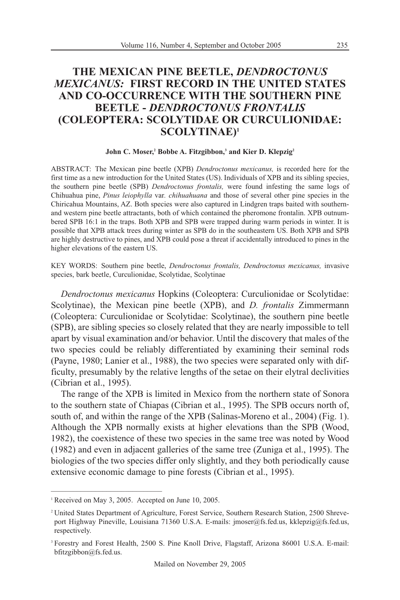# **THE MEXICAN PINE BEETLE,** *DENDROCTONUS MEXICANUS:* **FIRST RECORD IN THE UNITED STATES AND CO-OCCURRENCE WITH THE SOUTHERN PINE BEETLE -** *DENDROCTONUS FRONTALIS*  **(COLEOPTERA: SCOLYTIDAE OR CURCULIONIDAE: SCOLYTINAE)1**

#### John C. Moser,<sup>2</sup> Bobbe A. Fitzgibbon,<sup>3</sup> and Kier D. Klepzig<sup>2</sup>

ABSTRACT: The Mexican pine beetle (XPB) *Dendroctonus mexicanus,* is recorded here for the first time as a new introduction for the United States (US). Individuals of XPB and its sibling species, the southern pine beetle (SPB) *Dendroctonus frontalis,* were found infesting the same logs of Chihuahua pine, *Pinus leiophylla* var*. chihuahuana* and those of several other pine species in the Chiricahua Mountains, AZ. Both species were also captured in Lindgren traps baited with southernand western pine beetle attractants, both of which contained the pheromone frontalin. XPB outnumbered SPB 16:1 in the traps. Both XPB and SPB were trapped during warm periods in winter. It is possible that XPB attack trees during winter as SPB do in the southeastern US. Both XPB and SPB are highly destructive to pines, and XPB could pose a threat if accidentally introduced to pines in the higher elevations of the eastern US.

KEY WORDS: Southern pine beetle, *Dendroctonus frontalis, Dendroctonus mexicanus,* invasive species, bark beetle, Curculionidae, Scolytidae, Scolytinae

*Dendroctonus mexicanus* Hopkins (Coleoptera: Curculionidae or Scolytidae: Scolytinae), the Mexican pine beetle (XPB), and *D. frontalis* Zimmermann (Coleoptera: Curculionidae or Scolytidae: Scolytinae), the southern pine beetle (SPB), are sibling species so closely related that they are nearly impossible to tell apart by visual examination and/or behavior. Until the discovery that males of the two species could be reliably differentiated by examining their seminal rods (Payne, 1980; Lanier et al., 1988), the two species were separated only with difficulty, presumably by the relative lengths of the setae on their elytral declivities (Cibrian et al., 1995).

The range of the XPB is limited in Mexico from the northern state of Sonora to the southern state of Chiapas (Cibrian et al., 1995). The SPB occurs north of, south of, and within the range of the XPB (Salinas-Moreno et al., 2004) (Fig. 1). Although the XPB normally exists at higher elevations than the SPB (Wood, 1982), the coexistence of these two species in the same tree was noted by Wood (1982) and even in adjacent galleries of the same tree (Zuniga et al., 1995). The biologies of the two species differ only slightly, and they both periodically cause extensive economic damage to pine forests (Cibrian et al., 1995).

<sup>&</sup>lt;sup>1</sup> Received on May 3, 2005. Accepted on June 10, 2005.

<sup>2</sup> United States Department of Agriculture, Forest Service, Southern Research Station, 2500 Shreveport Highway Pineville, Louisiana 71360 U.S.A. E-mails: jmoser@fs.fed.us, kklepzig@fs.fed.us, respectively.

<sup>&</sup>lt;sup>3</sup> Forestry and Forest Health, 2500 S. Pine Knoll Drive, Flagstaff, Arizona 86001 U.S.A. E-mail: bfitzgibbon@fs.fed.us.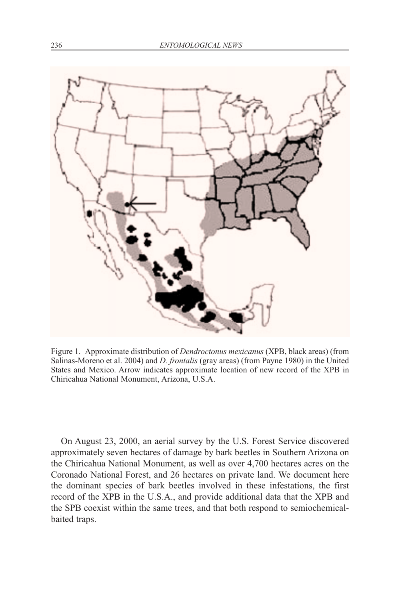

Figure 1. Approximate distribution of *Dendroctonus mexicanus* (XPB, black areas) (from Salinas-Moreno et al. 2004) and *D. frontalis* (gray areas) (from Payne 1980) in the United States and Mexico. Arrow indicates approximate location of new record of the XPB in Chiricahua National Monument, Arizona, U.S.A.

On August 23, 2000, an aerial survey by the U.S. Forest Service discovered approximately seven hectares of damage by bark beetles in Southern Arizona on the Chiricahua National Monument, as well as over 4,700 hectares acres on the Coronado National Forest, and 26 hectares on private land. We document here the dominant species of bark beetles involved in these infestations, the first record of the XPB in the U.S.A., and provide additional data that the XPB and the SPB coexist within the same trees, and that both respond to semiochemicalbaited traps.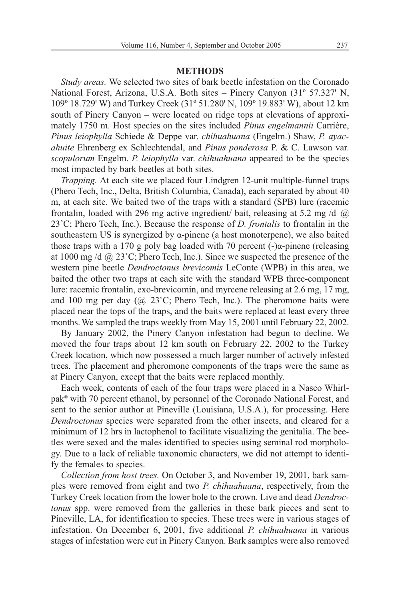## **METHODS**

*Study areas.* We selected two sites of bark beetle infestation on the Coronado National Forest, Arizona, U.S.A. Both sites – Pinery Canyon (31º 57.327' N, 109º 18.729' W) and Turkey Creek (31º 51.280' N, 109º 19.883' W), about 12 km south of Pinery Canyon – were located on ridge tops at elevations of approximately 1750 m. Host species on the sites included *Pinus engelmannii* Carrière, *Pinus leiophylla* Schiede & Deppe var. *chihuahuana* (Engelm.) Shaw, *P. ayacahuite* Ehrenberg ex Schlechtendal, and *Pinus ponderosa* P. & C. Lawson var. *scopulorum* Engelm. *P. leiophylla* var. *chihuahuana* appeared to be the species most impacted by bark beetles at both sites.

*Trapping.* At each site we placed four Lindgren 12-unit multiple-funnel traps (Phero Tech, Inc., Delta, British Columbia, Canada), each separated by about 40 m, at each site. We baited two of the traps with a standard (SPB) lure (racemic frontalin, loaded with 296 mg active ingredient/ bait, releasing at 5.2 mg /d @ 23˚C; Phero Tech, Inc.). Because the response of *D. frontalis* to frontalin in the southeastern US is synergized by  $\alpha$ -pinene (a host monoterpene), we also baited those traps with a 170 g poly bag loaded with 70 percent  $(-)$ α-pinene (releasing at 1000 mg/d  $(a)$  23°C; Phero Tech, Inc.). Since we suspected the presence of the western pine beetle *Dendroctonus brevicomis* LeConte (WPB) in this area, we baited the other two traps at each site with the standard WPB three-component lure: racemic frontalin, exo-brevicomin, and myrcene releasing at 2.6 mg, 17 mg, and 100 mg per day  $(Q\ 23^{\circ}C;$  Phero Tech, Inc.). The pheromone baits were placed near the tops of the traps, and the baits were replaced at least every three months.We sampled the traps weekly from May 15, 2001 until February 22, 2002.

By January 2002, the Pinery Canyon infestation had begun to decline. We moved the four traps about 12 km south on February 22, 2002 to the Turkey Creek location, which now possessed a much larger number of actively infested trees. The placement and pheromone components of the traps were the same as at Pinery Canyon, except that the baits were replaced monthly.

Each week, contents of each of the four traps were placed in a Nasco Whirlpak® with 70 percent ethanol, by personnel of the Coronado National Forest, and sent to the senior author at Pineville (Louisiana, U.S.A.), for processing. Here *Dendroctonus* species were separated from the other insects, and cleared for a minimum of 12 hrs in lactophenol to facilitate visualizing the genitalia. The beetles were sexed and the males identified to species using seminal rod morphology. Due to a lack of reliable taxonomic characters, we did not attempt to identify the females to species.

*Collection from host trees.* On October 3, and November 19, 2001, bark samples were removed from eight and two *P. chihuahuana*, respectively, from the Turkey Creek location from the lower bole to the crown. Live and dead *Dendroctonus* spp. were removed from the galleries in these bark pieces and sent to Pineville, LA, for identification to species. These trees were in various stages of infestation. On December 6, 2001, five additional *P. chihuahuana* in various stages of infestation were cut in Pinery Canyon. Bark samples were also removed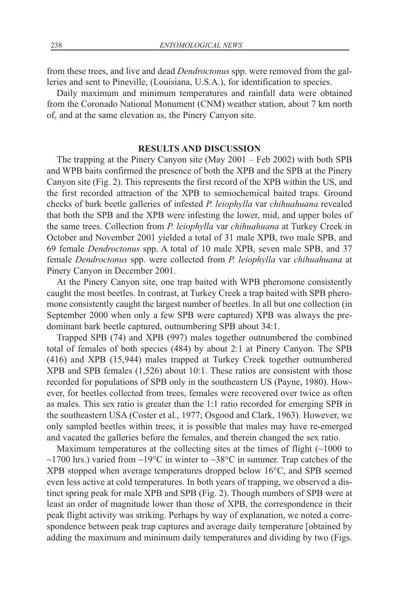from these trees, and live and dead *Dendroctonus* spp. were removed from the galleries and sent to Pineville, (Louisiana, U.S.A.), for identification to species.

Daily maximum and minimum temperatures and rainfall data were obtained from the Coronado National Monument (CNM) weather station, about 7 km north of, and at the same elevation as, the Pinery Canyon site.

## **RESULTS AND DISCUSSION**

The trapping at the Pinery Canyon site (May 2001 – Feb 2002) with both SPB and WPB baits confirmed the presence of both the XPB and the SPB at the Pinery Canyon site (Fig. 2). This represents the first record of the XPB within the US, and the first recorded attraction of the XPB to semiochemical baited traps. Ground checks of bark beetle galleries of infested *P. leiophylla* var *chihuahuana* revealed that both the SPB and the XPB were infesting the lower, mid, and upper boles of the same trees. Collection from *P. leiophylla* var *chihuahuana* at Turkey Creek in October and November 2001 yielded a total of 31 male XPB, two male SPB, and 69 female *Dendroctonus* spp. A total of 10 male XPB, seven male SPB, and 37 female *Dendroctonus* spp. were collected from *P. leiophylla* var *chihuahuana* at Pinery Canyon in December 2001.

At the Pinery Canyon site, one trap baited with WPB pheromone consistently caught the most beetles. In contrast, at Turkey Creek a trap baited with SPB pheromone consistently caught the largest number of beetles. In all but one collection (in September 2000 when only a few SPB were captured) XPB was always the predominant bark beetle captured, outnumbering SPB about 34:1.

Trapped SPB (74) and XPB (997) males together outnumbered the combined total of females of both species (484) by about 2:1 at Pinery Canyon. The SPB (416) and XPB (15,944) males trapped at Turkey Creek together outnumbered XPB and SPB females (1,526) about 10:1. These ratios are consistent with those recorded for populations of SPB only in the southeastern US (Payne, 1980). However, for beetles collected from trees, females were recovered over twice as often as males. This sex ratio is greater than the 1:1 ratio recorded for emerging SPB in the southeastern USA (Coster et al., 1977; Osgood and Clark, 1963). However, we only sampled beetles within trees; it is possible that males may have re-emerged and vacated the galleries before the females, and therein changed the sex ratio.

Maximum temperatures at the collecting sites at the times of flight (~1000 to  $\sim$ 1700 hrs.) varied from  $\sim$ 19°C in winter to  $\sim$ 38°C in summer. Trap catches of the XPB stopped when average temperatures dropped below 16°C, and SPB seemed even less active at cold temperatures. In both years of trapping, we observed a distinct spring peak for male XPB and SPB (Fig. 2). Though numbers of SPB were at least an order of magnitude lower than those of XPB, the correspondence in their peak flight activity was striking. Perhaps by way of explanation, we noted a correspondence between peak trap captures and average daily temperature [obtained by adding the maximum and minimum daily temperatures and dividing by two (Figs.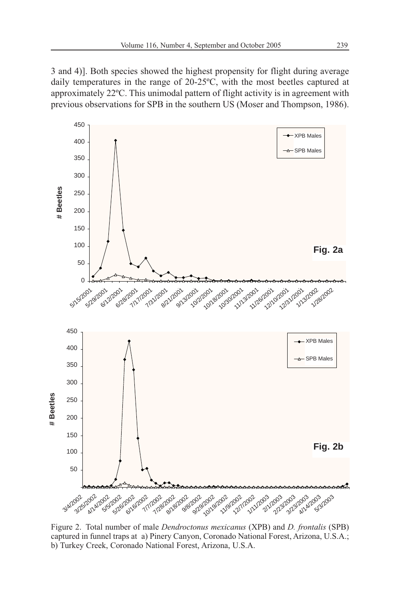3 and 4)]. Both species showed the highest propensity for flight during average daily temperatures in the range of 20-25ºC, with the most beetles captured at approximately 22ºC. This unimodal pattern of flight activity is in agreement with previous observations for SPB in the southern US (Moser and Thompson, 1986).



Figure 2. Total number of male *Dendroctonus mexicanus* (XPB) and *D. frontalis* (SPB) captured in funnel traps at a) Pinery Canyon, Coronado National Forest, Arizona, U.S.A.; b) Turkey Creek, Coronado National Forest, Arizona, U.S.A.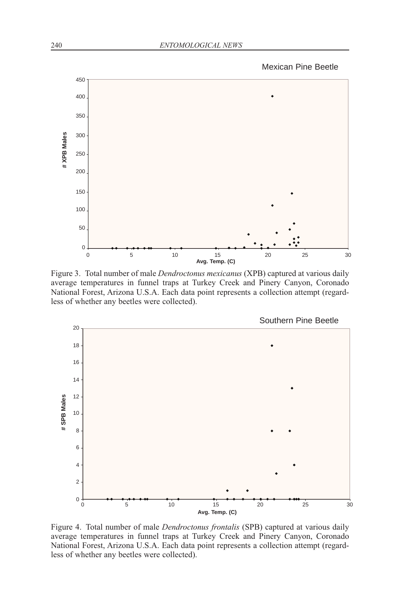Mexican Pine Beetle



Figure 3. Total number of male *Dendroctonus mexicanus* (XPB) captured at various daily average temperatures in funnel traps at Turkey Creek and Pinery Canyon, Coronado National Forest, Arizona U.S.A. Each data point represents a collection attempt (regardless of whether any beetles were collected).

Southern Pine Beetle



Figure 4. Total number of male *Dendroctonus frontalis* (SPB) captured at various daily average temperatures in funnel traps at Turkey Creek and Pinery Canyon, Coronado National Forest, Arizona U.S.A. Each data point represents a collection attempt (regardless of whether any beetles were collected).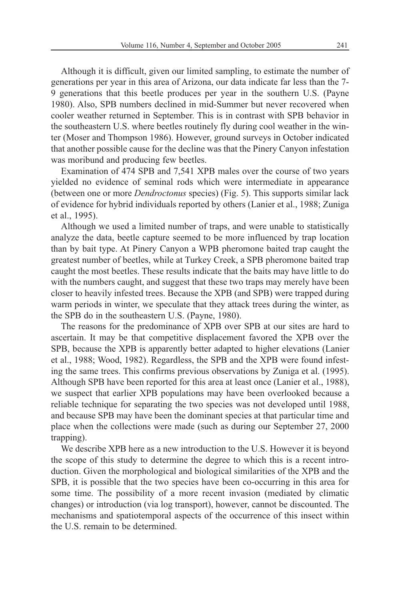Although it is difficult, given our limited sampling, to estimate the number of generations per year in this area of Arizona, our data indicate far less than the 7- 9 generations that this beetle produces per year in the southern U.S. (Payne 1980). Also, SPB numbers declined in mid-Summer but never recovered when cooler weather returned in September. This is in contrast with SPB behavior in the southeastern U.S. where beetles routinely fly during cool weather in the winter (Moser and Thompson 1986). However, ground surveys in October indicated that another possible cause for the decline was that the Pinery Canyon infestation was moribund and producing few beetles.

Examination of 474 SPB and 7,541 XPB males over the course of two years yielded no evidence of seminal rods which were intermediate in appearance (between one or more *Dendroctonus* species) (Fig. 5). This supports similar lack of evidence for hybrid individuals reported by others (Lanier et al., 1988; Zuniga et al., 1995).

Although we used a limited number of traps, and were unable to statistically analyze the data, beetle capture seemed to be more influenced by trap location than by bait type. At Pinery Canyon a WPB pheromone baited trap caught the greatest number of beetles, while at Turkey Creek, a SPB pheromone baited trap caught the most beetles. These results indicate that the baits may have little to do with the numbers caught, and suggest that these two traps may merely have been closer to heavily infested trees. Because the XPB (and SPB) were trapped during warm periods in winter, we speculate that they attack trees during the winter, as the SPB do in the southeastern U.S. (Payne, 1980).

The reasons for the predominance of XPB over SPB at our sites are hard to ascertain. It may be that competitive displacement favored the XPB over the SPB, because the XPB is apparently better adapted to higher elevations (Lanier et al., 1988; Wood, 1982). Regardless, the SPB and the XPB were found infesting the same trees. This confirms previous observations by Zuniga et al. (1995). Although SPB have been reported for this area at least once (Lanier et al., 1988), we suspect that earlier XPB populations may have been overlooked because a reliable technique for separating the two species was not developed until 1988, and because SPB may have been the dominant species at that particular time and place when the collections were made (such as during our September 27, 2000 trapping).

We describe XPB here as a new introduction to the U.S. However it is beyond the scope of this study to determine the degree to which this is a recent introduction. Given the morphological and biological similarities of the XPB and the SPB, it is possible that the two species have been co-occurring in this area for some time. The possibility of a more recent invasion (mediated by climatic changes) or introduction (via log transport), however, cannot be discounted. The mechanisms and spatiotemporal aspects of the occurrence of this insect within the U.S. remain to be determined.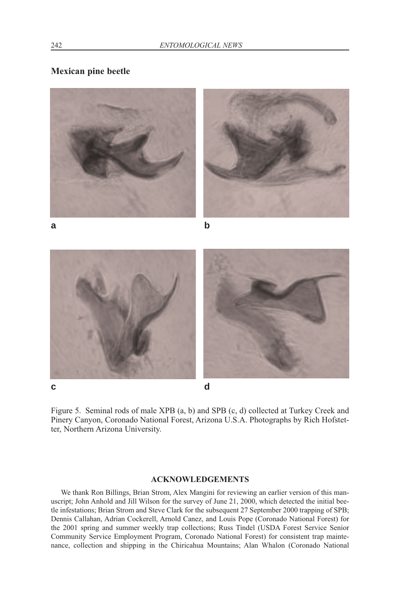# **Mexican pine beetle**



Figure 5. Seminal rods of male XPB (a, b) and SPB (c, d) collected at Turkey Creek and Pinery Canyon, Coronado National Forest, Arizona U.S.A. Photographs by Rich Hofstetter, Northern Arizona University.

## **ACKNOWLEDGEMENTS**

We thank Ron Billings, Brian Strom, Alex Mangini for reviewing an earlier version of this manuscript; John Anhold and Jill Wilson for the survey of June 21, 2000, which detected the initial beetle infestations; Brian Strom and Steve Clark for the subsequent 27 September 2000 trapping of SPB; Dennis Callahan, Adrian Cockerell, Arnold Canez, and Louis Pope (Coronado National Forest) for the 2001 spring and summer weekly trap collections; Russ Tindel (USDA Forest Service Senior Community Service Employment Program, Coronado National Forest) for consistent trap maintenance, collection and shipping in the Chiricahua Mountains; Alan Whalon (Coronado National